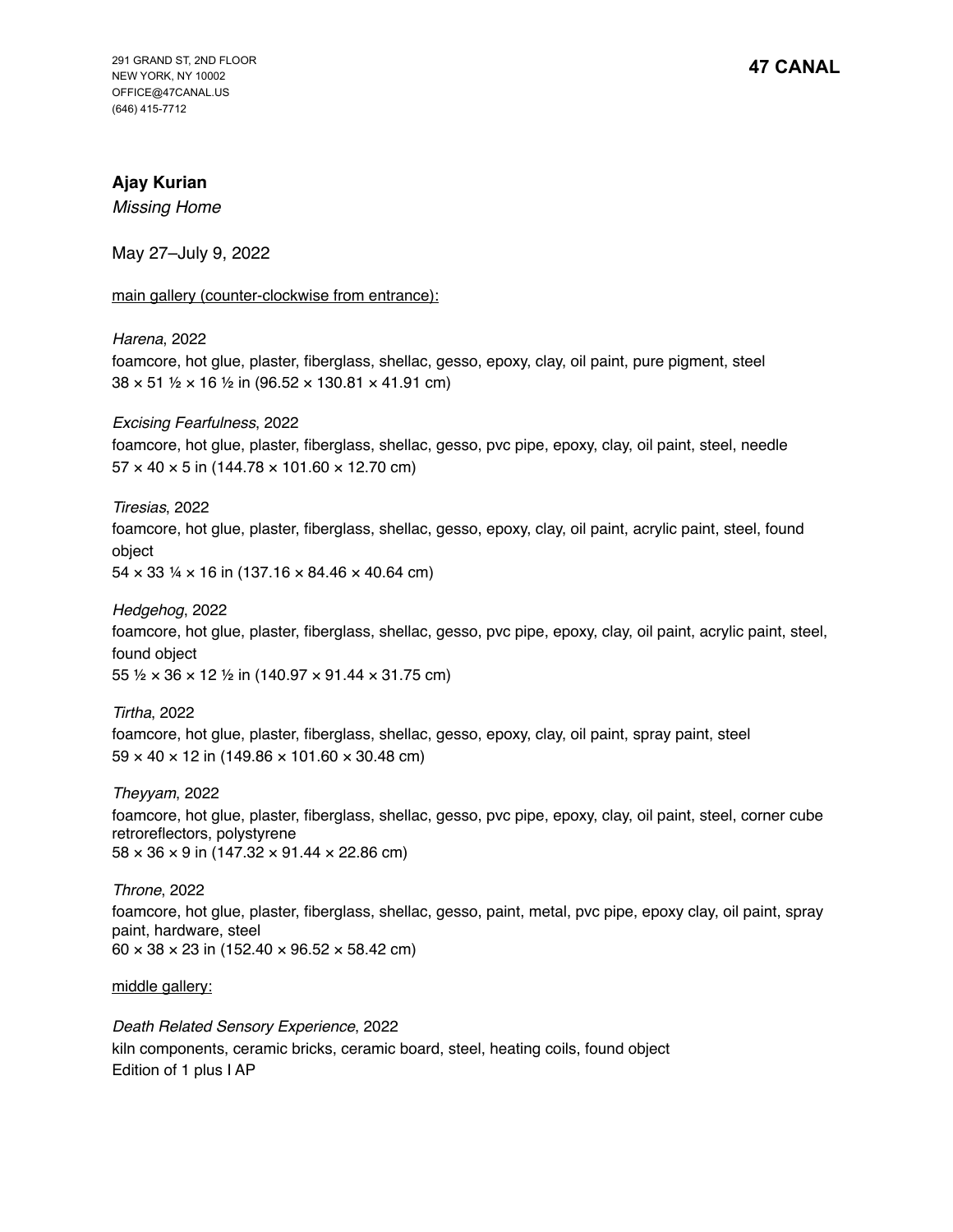# **Ajay Kurian**

*Missing Home*

May 27–July 9, 2022

main gallery (counter-clockwise from entrance):

### *Harena*, 2022

foamcore, hot glue, plaster, fiberglass, shellac, gesso, epoxy, clay, oil paint, pure pigment, steel  $38 \times 51$  1/2  $\times$  16 1/2 in (96.52  $\times$  130.81  $\times$  41.91 cm)

*Excising Fearfulness*, 2022

foamcore, hot glue, plaster, fiberglass, shellac, gesso, pvc pipe, epoxy, clay, oil paint, steel, needle  $57 \times 40 \times 5$  in (144.78  $\times$  101.60  $\times$  12.70 cm)

### *Tiresias*, 2022

foamcore, hot glue, plaster, fiberglass, shellac, gesso, epoxy, clay, oil paint, acrylic paint, steel, found object

 $54 \times 33$  ¼  $\times$  16 in (137.16  $\times$  84.46  $\times$  40.64 cm)

### *Hedgehog*, 2022

foamcore, hot glue, plaster, fiberglass, shellac, gesso, pvc pipe, epoxy, clay, oil paint, acrylic paint, steel, found object

55 ½ × 36 × 12 ½ in (140.97 × 91.44 × 31.75 cm)

*Tirtha*, 2022 foamcore, hot glue, plaster, fiberglass, shellac, gesso, epoxy, clay, oil paint, spray paint, steel 59 × 40 × 12 in (149.86 × 101.60 × 30.48 cm)

*Theyyam*, 2022 foamcore, hot glue, plaster, fiberglass, shellac, gesso, pvc pipe, epoxy, clay, oil paint, steel, corner cube retroreflectors, polystyrene  $58 \times 36 \times 9$  in (147.32  $\times$  91.44  $\times$  22.86 cm)

*Throne*, 2022 foamcore, hot glue, plaster, fiberglass, shellac, gesso, paint, metal, pvc pipe, epoxy clay, oil paint, spray paint, hardware, steel  $60 \times 38 \times 23$  in (152.40  $\times$  96.52  $\times$  58.42 cm)

middle gallery:

*Death Related Sensory Experience*, 2022 kiln components, ceramic bricks, ceramic board, steel, heating coils, found object Edition of 1 plus I AP